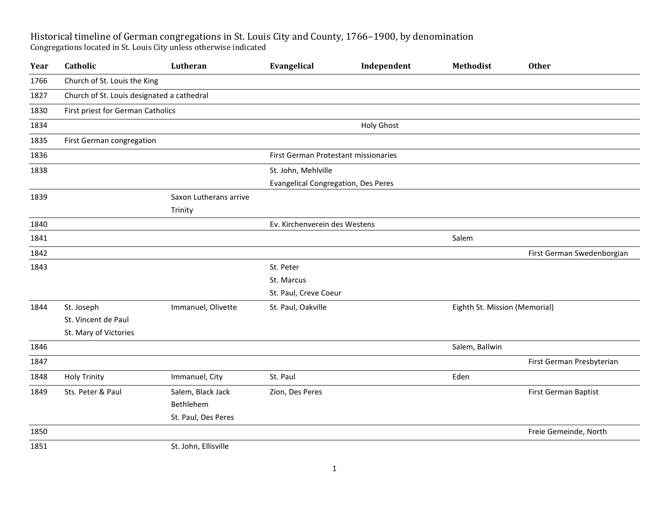## Historical timeline of German congregations in St. Louis City and County, 1766–1900, by denomination Congregations located in St. Louis City unless otherwise indicated

| Year | Catholic                                   | Lutheran               | Evangelical                                | Independent       | Methodist                     | <b>Other</b>               |  |  |
|------|--------------------------------------------|------------------------|--------------------------------------------|-------------------|-------------------------------|----------------------------|--|--|
| 1766 | Church of St. Louis the King               |                        |                                            |                   |                               |                            |  |  |
| 1827 | Church of St. Louis designated a cathedral |                        |                                            |                   |                               |                            |  |  |
| 1830 | First priest for German Catholics          |                        |                                            |                   |                               |                            |  |  |
| 1834 |                                            |                        |                                            | <b>Holy Ghost</b> |                               |                            |  |  |
| 1835 | First German congregation                  |                        |                                            |                   |                               |                            |  |  |
| 1836 |                                            |                        | First German Protestant missionaries       |                   |                               |                            |  |  |
| 1838 |                                            |                        | St. John, Mehlville                        |                   |                               |                            |  |  |
|      |                                            |                        | <b>Evangelical Congregation, Des Peres</b> |                   |                               |                            |  |  |
| 1839 |                                            | Saxon Lutherans arrive |                                            |                   |                               |                            |  |  |
|      |                                            | Trinity                |                                            |                   |                               |                            |  |  |
| 1840 |                                            |                        | Ev. Kirchenverein des Westens              |                   |                               |                            |  |  |
| 1841 |                                            |                        |                                            |                   | Salem                         |                            |  |  |
| 1842 |                                            |                        |                                            |                   |                               | First German Swedenborgian |  |  |
| 1843 |                                            |                        | St. Peter                                  |                   |                               |                            |  |  |
|      |                                            |                        | St. Marcus                                 |                   |                               |                            |  |  |
|      |                                            |                        | St. Paul, Creve Coeur                      |                   |                               |                            |  |  |
| 1844 | St. Joseph                                 | Immanuel, Olivette     | St. Paul, Oakville                         |                   | Eighth St. Mission (Memorial) |                            |  |  |
|      | St. Vincent de Paul                        |                        |                                            |                   |                               |                            |  |  |
|      | St. Mary of Victories                      |                        |                                            |                   |                               |                            |  |  |
| 1846 |                                            |                        |                                            |                   | Salem, Ballwin                |                            |  |  |
| 1847 |                                            |                        |                                            |                   |                               | First German Presbyterian  |  |  |
| 1848 | <b>Holy Trinity</b>                        | Immanuel, City         | St. Paul                                   |                   | Eden                          |                            |  |  |
| 1849 | Sts. Peter & Paul                          | Salem, Black Jack      | Zion, Des Peres                            |                   |                               | First German Baptist       |  |  |
|      |                                            | Bethlehem              |                                            |                   |                               |                            |  |  |
|      |                                            | St. Paul, Des Peres    |                                            |                   |                               |                            |  |  |
| 1850 |                                            |                        |                                            |                   |                               | Freie Gemeinde, North      |  |  |
| 1851 |                                            | St. John, Ellisville   |                                            |                   |                               |                            |  |  |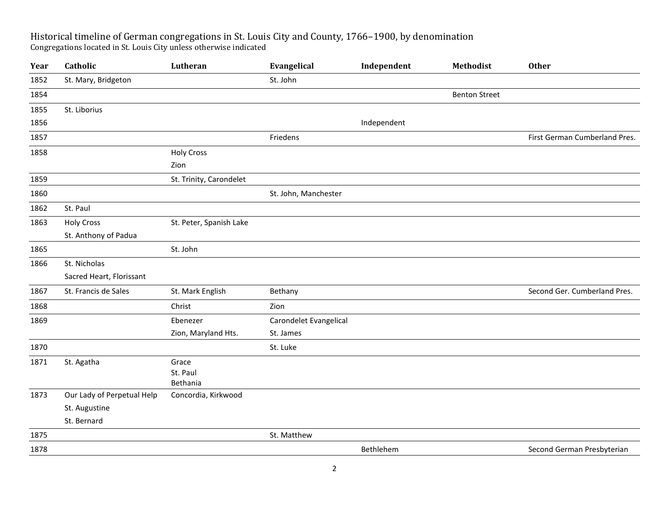## Historical timeline of German congregations in St. Louis City and County, 1766–1900, by denomination Congregations located in St. Louis City unless otherwise indicated

| Year | Catholic                   | Lutheran                      | Evangelical            | Independent | Methodist            | <b>Other</b>                  |
|------|----------------------------|-------------------------------|------------------------|-------------|----------------------|-------------------------------|
| 1852 | St. Mary, Bridgeton        |                               | St. John               |             |                      |                               |
| 1854 |                            |                               |                        |             | <b>Benton Street</b> |                               |
| 1855 | St. Liborius               |                               |                        |             |                      |                               |
| 1856 |                            |                               |                        | Independent |                      |                               |
| 1857 |                            |                               | Friedens               |             |                      | First German Cumberland Pres. |
| 1858 |                            | <b>Holy Cross</b>             |                        |             |                      |                               |
|      |                            | Zion                          |                        |             |                      |                               |
| 1859 |                            | St. Trinity, Carondelet       |                        |             |                      |                               |
| 1860 |                            |                               | St. John, Manchester   |             |                      |                               |
| 1862 | St. Paul                   |                               |                        |             |                      |                               |
| 1863 | <b>Holy Cross</b>          | St. Peter, Spanish Lake       |                        |             |                      |                               |
|      | St. Anthony of Padua       |                               |                        |             |                      |                               |
| 1865 |                            | St. John                      |                        |             |                      |                               |
| 1866 | St. Nicholas               |                               |                        |             |                      |                               |
|      | Sacred Heart, Florissant   |                               |                        |             |                      |                               |
| 1867 | St. Francis de Sales       | St. Mark English              | Bethany                |             |                      | Second Ger. Cumberland Pres.  |
| 1868 |                            | Christ                        | Zion                   |             |                      |                               |
| 1869 |                            | Ebenezer                      | Carondelet Evangelical |             |                      |                               |
|      |                            | Zion, Maryland Hts.           | St. James              |             |                      |                               |
| 1870 |                            |                               | St. Luke               |             |                      |                               |
| 1871 | St. Agatha                 | Grace<br>St. Paul<br>Bethania |                        |             |                      |                               |
| 1873 | Our Lady of Perpetual Help | Concordia, Kirkwood           |                        |             |                      |                               |
|      | St. Augustine              |                               |                        |             |                      |                               |
|      | St. Bernard                |                               |                        |             |                      |                               |
| 1875 |                            |                               | St. Matthew            |             |                      |                               |
| 1878 |                            |                               |                        | Bethlehem   |                      | Second German Presbyterian    |